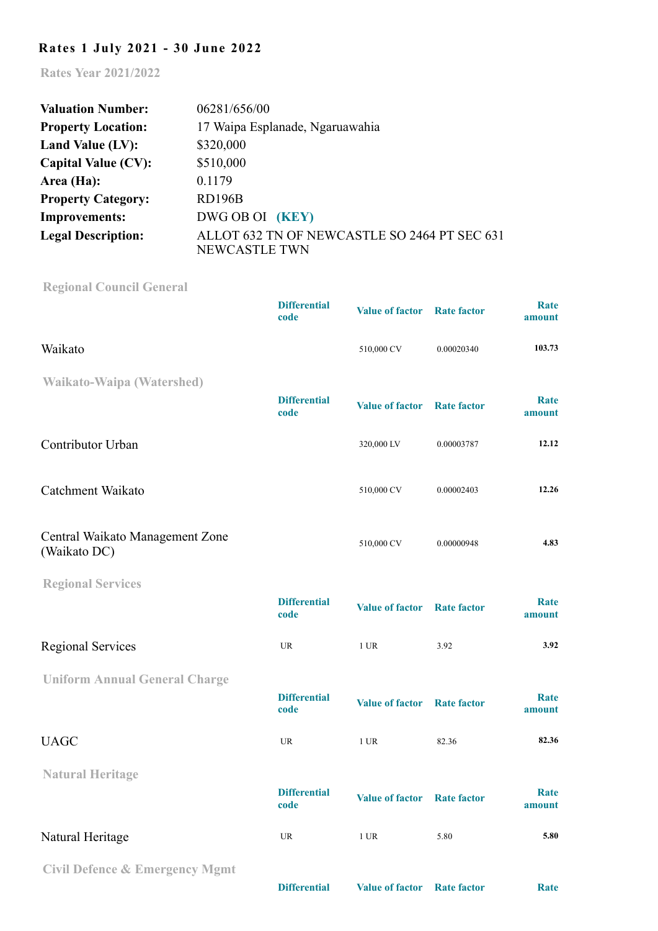## **Rates 1 July 2021 - 30 June 2022**

**Rates Year 2021/2022**

| <b>Valuation Number:</b>   | 06281/656/00                                                         |
|----------------------------|----------------------------------------------------------------------|
| <b>Property Location:</b>  | 17 Waipa Esplanade, Ngaruawahia                                      |
| Land Value (LV):           | \$320,000                                                            |
| <b>Capital Value (CV):</b> | \$510,000                                                            |
| Area (Ha):                 | 0.1179                                                               |
| <b>Property Category:</b>  | RD196B                                                               |
| <b>Improvements:</b>       | DWG OB OI (KEY)                                                      |
| <b>Legal Description:</b>  | ALLOT 632 TN OF NEWCASTLE SO 2464 PT SEC 631<br><b>NEWCASTLE TWN</b> |

**[Regional Council General](http://www.waikatoregion.govt.nz/Council/Rates/Frequently-asked-questions/#Heading12)**

|                                                 | <b>Differential</b><br>code | <b>Value of factor</b> | <b>Rate factor</b> | <b>Rate</b><br>amount |
|-------------------------------------------------|-----------------------------|------------------------|--------------------|-----------------------|
| Waikato                                         |                             | 510,000 CV             | 0.00020340         | 103.73                |
| <b>Waikato-Waipa (Watershed)</b>                |                             |                        |                    |                       |
|                                                 | <b>Differential</b><br>code | <b>Value of factor</b> | <b>Rate factor</b> | Rate<br>amount        |
| Contributor Urban                               |                             | 320,000 LV             | 0.00003787         | 12.12                 |
| Catchment Waikato                               |                             | 510,000 CV             | 0.00002403         | 12.26                 |
| Central Waikato Management Zone<br>(Waikato DC) |                             | 510,000 CV             | 0.00000948         | 4.83                  |
| <b>Regional Services</b>                        |                             |                        |                    |                       |
|                                                 | <b>Differential</b><br>code | <b>Value of factor</b> | <b>Rate factor</b> | Rate<br>amount        |
| <b>Regional Services</b>                        | UR                          | 1 UR                   | 3.92               | 3.92                  |
| <b>Uniform Annual General Charge</b>            |                             |                        |                    |                       |
|                                                 | <b>Differential</b><br>code | <b>Value of factor</b> | <b>Rate factor</b> | Rate<br>amount        |
| <b>UAGC</b>                                     | <b>UR</b>                   | $1$ UR                 | 82.36              | 82.36                 |
| <b>Natural Heritage</b>                         |                             |                        |                    |                       |
|                                                 | <b>Differential</b><br>code | <b>Value of factor</b> | <b>Rate factor</b> | <b>Rate</b><br>amount |
| Natural Heritage                                | <b>UR</b>                   | $1$ UR                 | 5.80               | 5.80                  |
| <b>Civil Defence &amp; Emergency Mgmt</b>       |                             |                        |                    |                       |

**Differential Value of factor Rate factor Rate**